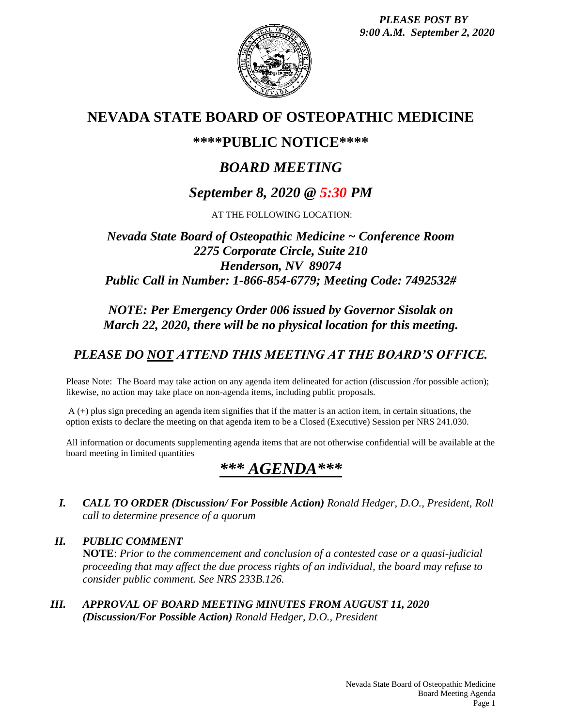*PLEASE POST BY 9:00 A.M. September 2, 2020*



## **NEVADA STATE BOARD OF OSTEOPATHIC MEDICINE**

## **\*\*\*\*PUBLIC NOTICE\*\*\*\***

# *BOARD MEETING*

## *September 8, 2020 @ 5:30 PM*

AT THE FOLLOWING LOCATION:

### *Nevada State Board of Osteopathic Medicine ~ Conference Room 2275 Corporate Circle, Suite 210 Henderson, NV 89074 Public Call in Number: 1-866-854-6779; Meeting Code: 7492532#*

### *NOTE: Per Emergency Order 006 issued by Governor Sisolak on March 22, 2020, there will be no physical location for this meeting.*

## *PLEASE DO NOT ATTEND THIS MEETING AT THE BOARD'S OFFICE.*

Please Note: The Board may take action on any agenda item delineated for action (discussion /for possible action); likewise, no action may take place on non-agenda items, including public proposals.

A (+) plus sign preceding an agenda item signifies that if the matter is an action item, in certain situations, the option exists to declare the meeting on that agenda item to be a Closed (Executive) Session per NRS 241.030.

All information or documents supplementing agenda items that are not otherwise confidential will be available at the board meeting in limited quantities

# *\*\*\* AGENDA\*\*\**

*I. CALL TO ORDER (Discussion/ For Possible Action) Ronald Hedger, D.O., President, Roll call to determine presence of a quorum*

*II. PUBLIC COMMENT* **NOTE**: *Prior to the commencement and conclusion of a contested case or a quasi-judicial proceeding that may affect the due process rights of an individual, the board may refuse to consider public comment. See NRS 233B.126.*

*III. APPROVAL OF BOARD MEETING MINUTES FROM AUGUST 11, 2020 (Discussion/For Possible Action) Ronald Hedger, D.O., President*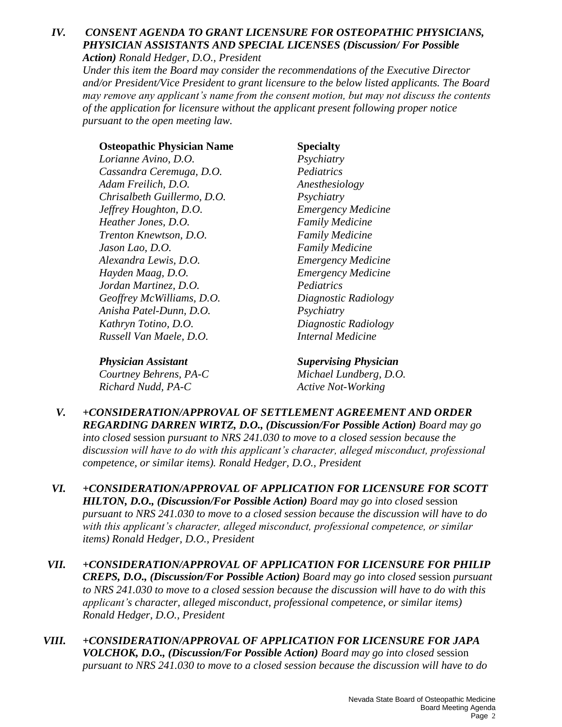### *IV. CONSENT AGENDA TO GRANT LICENSURE FOR OSTEOPATHIC PHYSICIANS, PHYSICIAN ASSISTANTS AND SPECIAL LICENSES (Discussion/ For Possible Action) Ronald Hedger, D.O., President*

*Under this item the Board may consider the recommendations of the Executive Director and/or President/Vice President to grant licensure to the below listed applicants. The Board may remove any applicant's name from the consent motion, but may not discuss the contents of the application for licensure without the applicant present following proper notice pursuant to the open meeting law.*

### **Osteopathic Physician Name Specialty**

*Lorianne Avino, D.O. Psychiatry Cassandra Ceremuga, D.O. Pediatrics Adam Freilich, D.O. Anesthesiology Chrisalbeth Guillermo, D.O. Psychiatry Jeffrey Houghton, D.O. Emergency Medicine Heather Jones, D.O. Family Medicine Trenton Knewtson, D.O. Family Medicine Jason Lao, D.O. Family Medicine Alexandra Lewis, D.O. Emergency Medicine Hayden Maag, D.O. Emergency Medicine Jordan Martinez, D.O. Pediatrics Geoffrey McWilliams, D.O. Diagnostic Radiology Anisha Patel-Dunn, D.O. Psychiatry Kathryn Totino, D.O. Diagnostic Radiology Russell Van Maele, D.O. Internal Medicine*

*Physician Assistant Supervising Physician Courtney Behrens, PA-C Michael Lundberg, D.O. Richard Nudd, PA-C Active Not-Working*

- *V. +CONSIDERATION/APPROVAL OF SETTLEMENT AGREEMENT AND ORDER REGARDING DARREN WIRTZ, D.O., (Discussion/For Possible Action) Board may go into closed* session *pursuant to NRS 241.030 to move to a closed session because the discussion will have to do with this applicant's character, alleged misconduct, professional competence, or similar items). Ronald Hedger, D.O., President*
- *VI. +CONSIDERATION/APPROVAL OF APPLICATION FOR LICENSURE FOR SCOTT HILTON, D.O., (Discussion/For Possible Action) Board may go into closed* session *pursuant to NRS 241.030 to move to a closed session because the discussion will have to do with this applicant's character, alleged misconduct, professional competence, or similar items) Ronald Hedger, D.O., President*
- *VII. +CONSIDERATION/APPROVAL OF APPLICATION FOR LICENSURE FOR PHILIP CREPS, D.O., (Discussion/For Possible Action) Board may go into closed* session *pursuant to NRS 241.030 to move to a closed session because the discussion will have to do with this applicant's character, alleged misconduct, professional competence, or similar items) Ronald Hedger, D.O., President*
- *VIII. +CONSIDERATION/APPROVAL OF APPLICATION FOR LICENSURE FOR JAPA VOLCHOK, D.O., (Discussion/For Possible Action) Board may go into closed* session *pursuant to NRS 241.030 to move to a closed session because the discussion will have to do*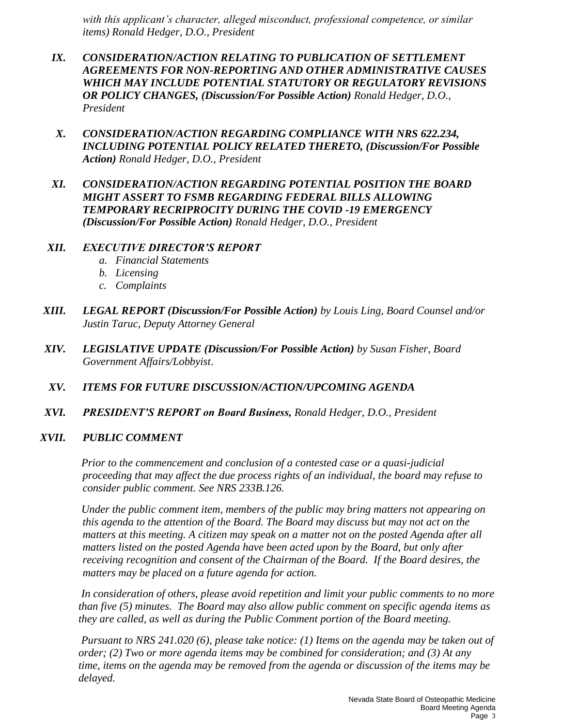*with this applicant's character, alleged misconduct, professional competence, or similar items) Ronald Hedger, D.O., President*

- *IX. CONSIDERATION/ACTION RELATING TO PUBLICATION OF SETTLEMENT AGREEMENTS FOR NON-REPORTING AND OTHER ADMINISTRATIVE CAUSES WHICH MAY INCLUDE POTENTIAL STATUTORY OR REGULATORY REVISIONS OR POLICY CHANGES, (Discussion/For Possible Action) Ronald Hedger, D.O., President*
- *X. CONSIDERATION/ACTION REGARDING COMPLIANCE WITH NRS 622.234, INCLUDING POTENTIAL POLICY RELATED THERETO, (Discussion/For Possible Action) Ronald Hedger, D.O., President*
- *XI. CONSIDERATION/ACTION REGARDING POTENTIAL POSITION THE BOARD MIGHT ASSERT TO FSMB REGARDING FEDERAL BILLS ALLOWING TEMPORARY RECRIPROCITY DURING THE COVID -19 EMERGENCY (Discussion/For Possible Action) Ronald Hedger, D.O., President*

### *XII. EXECUTIVE DIRECTOR'S REPORT*

- *a. Financial Statements*
- *b. Licensing*
- *c. Complaints*
- *XIII. LEGAL REPORT (Discussion/For Possible Action) by Louis Ling, Board Counsel and/or Justin Taruc, Deputy Attorney General*
- *XIV. LEGISLATIVE UPDATE (Discussion/For Possible Action) by Susan Fisher, Board Government Affairs/Lobbyist*.

### *XV. ITEMS FOR FUTURE DISCUSSION/ACTION/UPCOMING AGENDA*

*XVI. PRESIDENT'S REPORT on Board Business, Ronald Hedger, D.O., President*

### *XVII. PUBLIC COMMENT*

*Prior to the commencement and conclusion of a contested case or a quasi-judicial proceeding that may affect the due process rights of an individual, the board may refuse to consider public comment. See NRS 233B.126.*

*Under the public comment item, members of the public may bring matters not appearing on this agenda to the attention of the Board. The Board may discuss but may not act on the matters at this meeting. A citizen may speak on a matter not on the posted Agenda after all matters listed on the posted Agenda have been acted upon by the Board, but only after receiving recognition and consent of the Chairman of the Board. If the Board desires, the matters may be placed on a future agenda for action.*

*In consideration of others, please avoid repetition and limit your public comments to no more than five (5) minutes. The Board may also allow public comment on specific agenda items as they are called, as well as during the Public Comment portion of the Board meeting.* 

*Pursuant to NRS 241.020 (6), please take notice: (1) Items on the agenda may be taken out of order; (2) Two or more agenda items may be combined for consideration; and (3) At any time, items on the agenda may be removed from the agenda or discussion of the items may be delayed.*